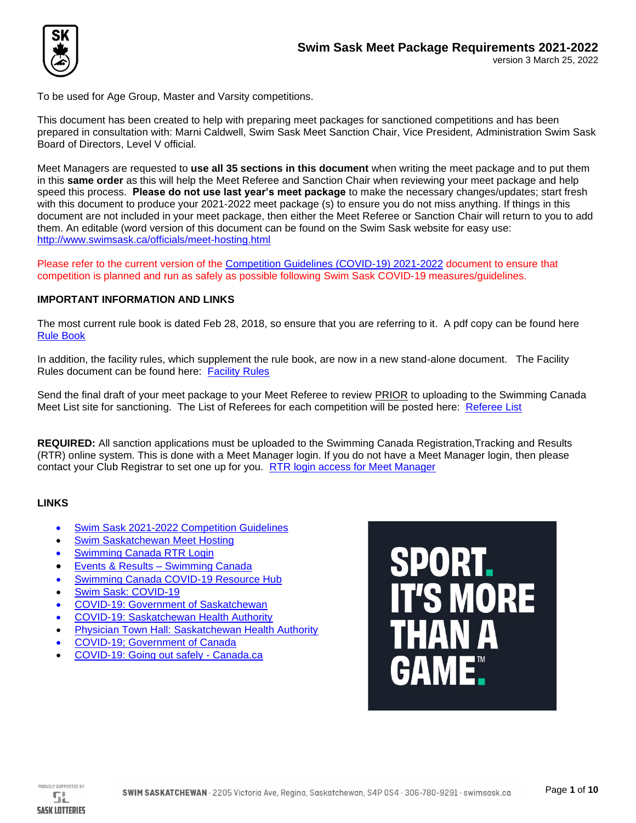

To be used for Age Group, Master and Varsity competitions.

This document has been created to help with preparing meet packages for sanctioned competitions and has been prepared in consultation with: Marni Caldwell, Swim Sask Meet Sanction Chair, Vice President, Administration Swim Sask Board of Directors, Level V official.

Meet Managers are requested to **use all 35 sections in this document** when writing the meet package and to put them in this **same order** as this will help the Meet Referee and Sanction Chair when reviewing your meet package and help speed this process. **Please do not use last year's meet package** to make the necessary changes/updates; start fresh with this document to produce your 2021-2022 meet package (s) to ensure you do not miss anything. If things in this document are not included in your meet package, then either the Meet Referee or Sanction Chair will return to you to add them. An editable (word version of this document can be found on the Swim Sask website for easy use: <http://www.swimsask.ca/officials/meet-hosting.html>

Please refer to the current version of the [Competition Guidelines \(COVID-19\) 2021-2022](http://www.swimsask.ca/news/pdf/competition_guidelines_2021-2022_March_25.pdf) document to ensure that competition is planned and run as safely as possible following Swim Sask COVID-19 measures/guidelines.

## **IMPORTANT INFORMATION AND LINKS**

The most current rule book is dated Feb 28, 2018, so ensure that you are referring to it. A pdf copy can be found here [Rule Book](https://swimming.ca/content/uploads/2018/05/2017-Rulebook-05-03-18-12pt-1.pdf)

In addition, the facility rules, which supplement the rule book, are now in a new stand-alone document. The Facility Rules document can be found here: [Facility](https://swimming.ca/content/uploads/2018/04/FACILITY-RULES_final_20180426.pdf) Rules

Send the final draft of your meet package to your Meet Referee to review PRIOR to uploading to the Swimming Canada Meet List site for sanctioning. The List of Referees for each competition will be posted here: [Referee List](http://www.swimsask.ca/officials/officials-referees.html)

**REQUIRED:** All sanction applications must be uploaded to the Swimming Canada Registration,Tracking and Results (RTR) online system. This is done with a Meet Manager login. If you do not have a Meet Manager login, then please contact your Club Registrar to set one up for you. [RTR login access for Meet Manager](https://registration.swimming.ca/Login.aspx)

## **LINKS**

- [Swim Sask 2021-2022 Competition Guidelines](http://www.swimsask.ca/news/pdf/competition_guidelines_2021-2022_March_25.pdf)
- [Swim Saskatchewan Meet Hosting](http://www.swimsask.ca/officials/meet-hosting.html)
- [Swimming Canada RTR Login](https://swimsask-my.sharepoint.com/personal/marjwalton_swimsask_ca/Documents/1.%20COVID-19/1.%20RTS%20and%20RTC%20DRAFTS%20Swim%20Sask/Club%20Declaration%20Form%20Outdoor%20Dryland%20&%20Open%20Water.docx)
- [Events & Results –](https://www.swimming.ca/en/events-results/) Swimming Canada
- [Swimming Canada COVID-19 Resource Hub](https://www.swimming.ca/en/resource-hub/)
- [Swim Sask: COVID-19](http://www.swimsask.ca/news/covid-19.html)
- [COVID-19: Government of Saskatchewan](https://www.saskatchewan.ca/covid-19#utm_campaign=q2_2015&utm_medium=short&utm_source=%2Fcovid-19)
- [COVID-19: Saskatchewan Health Authority](https://www.saskhealthauthority.ca/your-health/conditions-diseases-services/healthline-online?search_api_fulltext=COVID-19+in+Saskatchewan)
- [Physician Town Hall: Saskatchewan Health Authority](https://www.saskhealthauthority.ca/intranet/medical-staff/physician-town-halls)
- [COVID-19; Government of Canada](https://www.canada.ca/en/public-health/services/diseases/coronavirus-disease-covid-19.html)
- [COVID-19: Going out safely -](https://www.canada.ca/en/public-health/services/publications/diseases-conditions/covid-19-going-out-safely.html) Canada.ca



PROUDLY SUPPORTED BY SŁ **SASK LOTTERIES**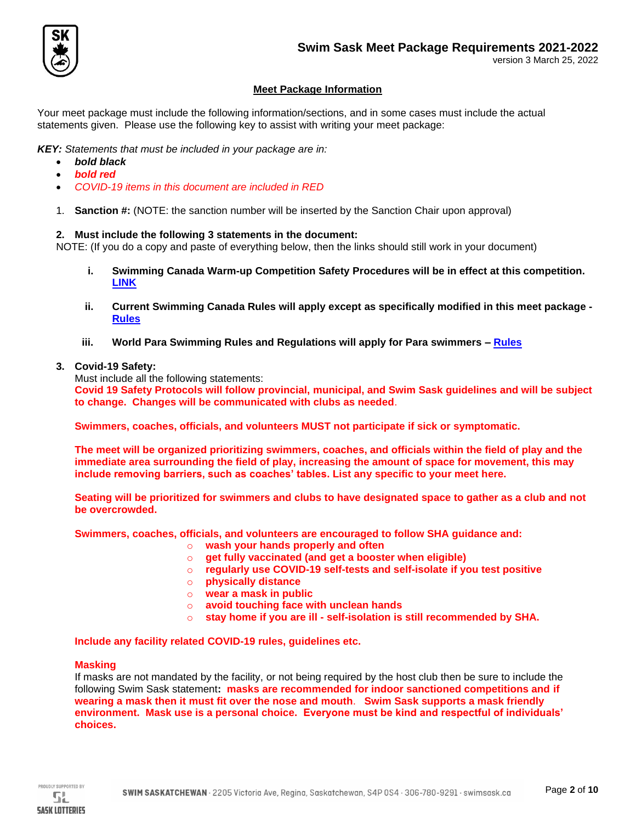

## **Meet Package Information**

Your meet package must include the following information/sections, and in some cases must include the actual statements given. Please use the following key to assist with writing your meet package:

*KEY: Statements that must be included in your package are in:*

- *bold black*
- *bold red*
- *COVID-19 items in this document are included in RED*
- 1. **Sanction #:** (NOTE: the sanction number will be inserted by the Sanction Chair upon approval)

## **2. Must include the following 3 statements in the document:**

NOTE: (If you do a copy and paste of everything below, then the links should still work in your document)

- **i. Swimming Canada Warm-up Competition Safety Procedures will be in effect at this competition. [LINK](https://www.swimming.ca/content/uploads/2020/08/Swimming-Canada-Competition-Warm-Up-Safety-Procedures-2020.pdf)**
- **ii. Current Swimming Canada Rules will apply except as specifically modified in this meet package - [Rules](https://swimming.ca/content/uploads/2018/05/2017-Rulebook-05-03-18-12pt-1.pdf)**
- **iii. World Para Swimming Rules and Regulations will apply for Para swimmers – [Rules](https://www.paralympic.org/sites/default/files/document/180313084120174_2018_03_WPS%2BRules%2Band%2BRegulations%2B2018.pdf)**
- **3. Covid-19 Safety:**

Must include all the following statements:

**Covid 19 Safety Protocols will follow provincial, municipal, and Swim Sask guidelines and will be subject to change. Changes will be communicated with clubs as needed**.

**Swimmers, coaches, officials, and volunteers MUST not participate if sick or symptomatic.**

**The meet will be organized prioritizing swimmers, coaches, and officials within the field of play and the immediate area surrounding the field of play, increasing the amount of space for movement, this may include removing barriers, such as coaches' tables. List any specific to your meet here.** 

**Seating will be prioritized for swimmers and clubs to have designated space to gather as a club and not be overcrowded.** 

**Swimmers, coaches, officials, and volunteers are encouraged to follow SHA guidance and:** 

- o **wash your hands properly and often**
- o **get fully vaccinated (and get a booster when eligible)**
- o **regularly use COVID-19 self-tests and self-isolate if you test positive**
- o **physically distance**
- o **wear a mask in public**
- o **avoid touching face with unclean hands**
- o **stay home if you are ill - self-isolation is still recommended by SHA.**

**Include any facility related COVID-19 rules, guidelines etc.**

#### **Masking**

If masks are not mandated by the facility, or not being required by the host club then be sure to include the following Swim Sask statement**: masks are recommended for indoor sanctioned competitions and if wearing a mask then it must fit over the nose and mouth**. **Swim Sask supports a mask friendly environment. Mask use is a personal choice. Everyone must be kind and respectful of individuals' choices.** 

PROUDLY SUPPORTED BY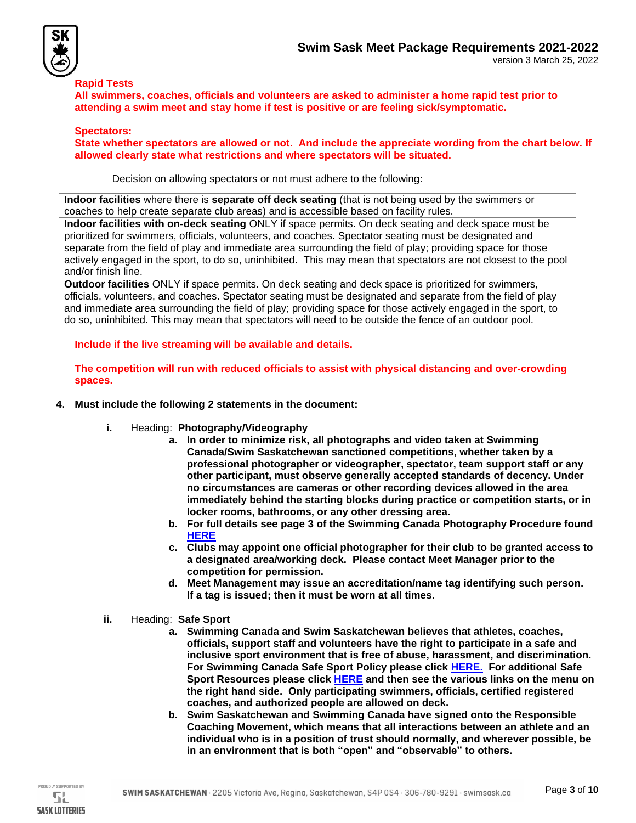

### **Rapid Tests**

**All swimmers, coaches, officials and volunteers are asked to administer a home rapid test prior to attending a swim meet and stay home if test is positive or are feeling sick/symptomatic.** 

### **Spectators:**

**State whether spectators are allowed or not. And include the appreciate wording from the chart below. If allowed clearly state what restrictions and where spectators will be situated.** 

Decision on allowing spectators or not must adhere to the following:

**Indoor facilities** where there is **separate off deck seating** (that is not being used by the swimmers or coaches to help create separate club areas) and is accessible based on facility rules.

**Indoor facilities with on-deck seating** ONLY if space permits. On deck seating and deck space must be prioritized for swimmers, officials, volunteers, and coaches. Spectator seating must be designated and separate from the field of play and immediate area surrounding the field of play; providing space for those actively engaged in the sport, to do so, uninhibited. This may mean that spectators are not closest to the pool and/or finish line.

**Outdoor facilities** ONLY if space permits. On deck seating and deck space is prioritized for swimmers, officials, volunteers, and coaches. Spectator seating must be designated and separate from the field of play and immediate area surrounding the field of play; providing space for those actively engaged in the sport, to do so, uninhibited. This may mean that spectators will need to be outside the fence of an outdoor pool.

**Include if the live streaming will be available and details.** 

**The competition will run with reduced officials to assist with physical distancing and over-crowding spaces.** 

- **4. Must include the following 2 statements in the document:**
	- **i.** Heading: **Photography/Videography** 
		- **a. In order to minimize risk, all photographs and video taken at Swimming Canada/Swim Saskatchewan sanctioned competitions, whether taken by a professional photographer or videographer, spectator, team support staff or any other participant, must observe generally accepted standards of decency. Under no circumstances are cameras or other recording devices allowed in the area immediately behind the starting blocks during practice or competition starts, or in locker rooms, bathrooms, or any other dressing area.**
		- **b. For full details see page 3 of the Swimming Canada Photography Procedure found [HERE](https://www.swimming.ca/content/uploads/2016/10/2016_Safe-Sport-Environment-Policy_20190329.pdf)**
		- **c. Clubs may appoint one official photographer for their club to be granted access to a designated area/working deck. Please contact Meet Manager prior to the competition for permission.**
		- **d. Meet Management may issue an accreditation/name tag identifying such person. If a tag is issued; then it must be worn at all times.**
	- **ii.** Heading: **Safe Sport** 
		- **a. Swimming Canada and Swim Saskatchewan believes that athletes, coaches, officials, support staff and volunteers have the right to participate in a safe and inclusive sport environment that is free of abuse, harassment, and discrimination. For Swimming Canada Safe Sport Policy please click [HERE.](https://www.swimming.ca/content/uploads/2016/10/2016_Safe-Sport-Environment-Policy_20190329.pdf) For additional Safe Sport Resources please click [HERE](https://www.swimming.ca/en/safe-sport/) and then see the various links on the menu on the right hand side. Only participating swimmers, officials, certified registered coaches, and authorized people are allowed on deck.**
		- **b. Swim Saskatchewan and Swimming Canada have signed onto the Responsible Coaching Movement, which means that all interactions between an athlete and an individual who is in a position of trust should normally, and wherever possible, be in an environment that is both "open" and "observable" to others.**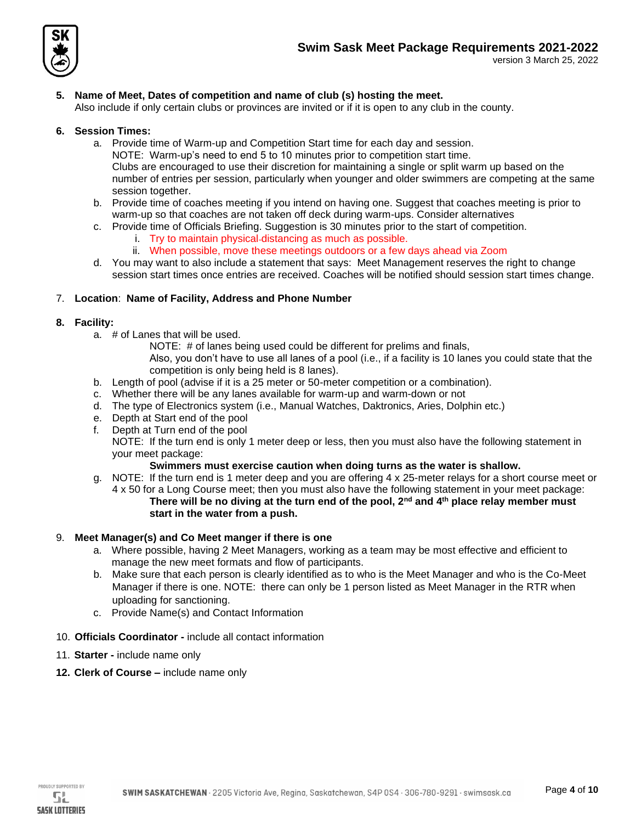

# **5. Name of Meet, Dates of competition and name of club (s) hosting the meet.**

Also include if only certain clubs or provinces are invited or if it is open to any club in the county.

## **6. Session Times:**

- a. Provide time of Warm-up and Competition Start time for each day and session.
	- NOTE: Warm-up's need to end 5 to 10 minutes prior to competition start time. Clubs are encouraged to use their discretion for maintaining a single or split warm up based on the number of entries per session, particularly when younger and older swimmers are competing at the same session together.
- b. Provide time of coaches meeting if you intend on having one. Suggest that coaches meeting is prior to warm-up so that coaches are not taken off deck during warm-ups. Consider alternatives
- c. Provide time of Officials Briefing. Suggestion is 30 minutes prior to the start of competition.
	- i. Try to maintain physical distancing as much as possible.
	- ii. When possible, move these meetings outdoors or a few days ahead via Zoom
- d. You may want to also include a statement that says: Meet Management reserves the right to change session start times once entries are received. Coaches will be notified should session start times change.

## 7. **Location**: **Name of Facility, Address and Phone Number**

## **8. Facility:**

- a. # of Lanes that will be used.
	- NOTE: # of lanes being used could be different for prelims and finals,
	- Also, you don't have to use all lanes of a pool (i.e., if a facility is 10 lanes you could state that the competition is only being held is 8 lanes).
- b. Length of pool (advise if it is a 25 meter or 50-meter competition or a combination).
- c. Whether there will be any lanes available for warm-up and warm-down or not
- d. The type of Electronics system (i.e., Manual Watches, Daktronics, Aries, Dolphin etc.)
- e. Depth at Start end of the pool
- f. Depth at Turn end of the pool

NOTE: If the turn end is only 1 meter deep or less, then you must also have the following statement in your meet package:

## **Swimmers must exercise caution when doing turns as the water is shallow.**

g. NOTE: If the turn end is 1 meter deep and you are offering 4 x 25-meter relays for a short course meet or 4 x 50 for a Long Course meet; then you must also have the following statement in your meet package: **There will be no diving at the turn end of the pool, 2nd and 4th place relay member must** 

## **start in the water from a push.**

## 9. **Meet Manager(s) and Co Meet manger if there is one**

- a. Where possible, having 2 Meet Managers, working as a team may be most effective and efficient to manage the new meet formats and flow of participants.
- b. Make sure that each person is clearly identified as to who is the Meet Manager and who is the Co-Meet Manager if there is one. NOTE: there can only be 1 person listed as Meet Manager in the RTR when uploading for sanctioning.
- c. Provide Name(s) and Contact Information
- 10. **Officials Coordinator -** include all contact information
- 11. **Starter -** include name only
- **12. Clerk of Course –** include name only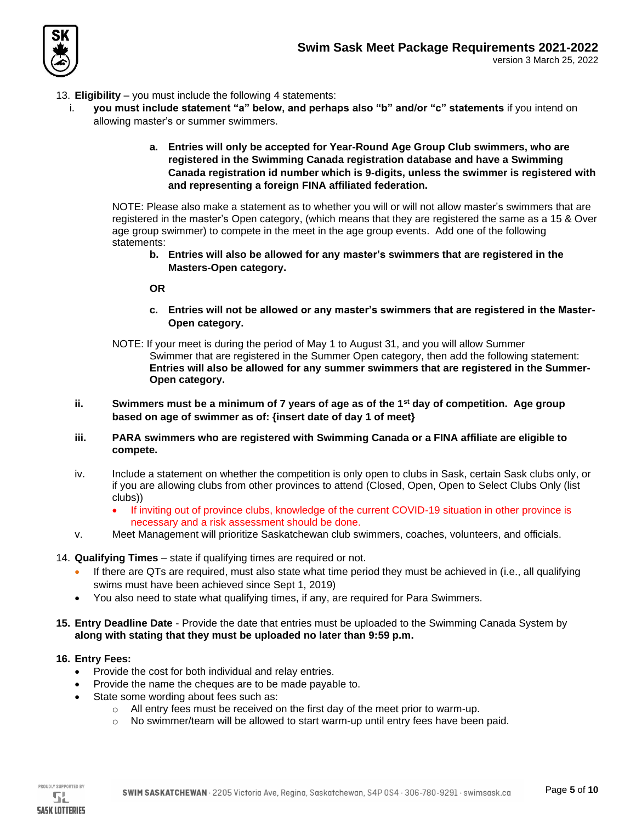

- 13. **Eligibility** you must include the following 4 statements:
	- i. **you must include statement "a" below, and perhaps also "b" and/or "c" statements** if you intend on allowing master's or summer swimmers.
		- **a. Entries will only be accepted for Year-Round Age Group Club swimmers, who are registered in the Swimming Canada registration database and have a Swimming Canada registration id number which is 9-digits, unless the swimmer is registered with and representing a foreign FINA affiliated federation.**

NOTE: Please also make a statement as to whether you will or will not allow master's swimmers that are registered in the master's Open category, (which means that they are registered the same as a 15 & Over age group swimmer) to compete in the meet in the age group events. Add one of the following statements:

**b. Entries will also be allowed for any master's swimmers that are registered in the Masters-Open category.** 

**OR** 

- **c. Entries will not be allowed or any master's swimmers that are registered in the Master-Open category.**
- NOTE: If your meet is during the period of May 1 to August 31, and you will allow Summer Swimmer that are registered in the Summer Open category, then add the following statement: **Entries will also be allowed for any summer swimmers that are registered in the Summer-Open category.**
- **ii. Swimmers must be a minimum of 7 years of age as of the 1st day of competition. Age group based on age of swimmer as of: {insert date of day 1 of meet}**
- **iii. PARA swimmers who are registered with Swimming Canada or a FINA affiliate are eligible to compete.**
- iv. Include a statement on whether the competition is only open to clubs in Sask, certain Sask clubs only, or if you are allowing clubs from other provinces to attend (Closed, Open, Open to Select Clubs Only (list clubs))
	- If inviting out of province clubs, knowledge of the current COVID-19 situation in other province is necessary and a risk assessment should be done.
- v. Meet Management will prioritize Saskatchewan club swimmers, coaches, volunteers, and officials.
- 14. **Qualifying Times** state if qualifying times are required or not.
	- If there are QTs are required, must also state what time period they must be achieved in (i.e., all qualifying swims must have been achieved since Sept 1, 2019)
	- You also need to state what qualifying times, if any, are required for Para Swimmers.
- **15. Entry Deadline Date** Provide the date that entries must be uploaded to the Swimming Canada System by **along with stating that they must be uploaded no later than 9:59 p.m.**

## **16. Entry Fees:**

- Provide the cost for both individual and relay entries.
- Provide the name the cheques are to be made payable to.
- State some wording about fees such as:
	- o All entry fees must be received on the first day of the meet prior to warm-up.
	- $\circ$  No swimmer/team will be allowed to start warm-up until entry fees have been paid.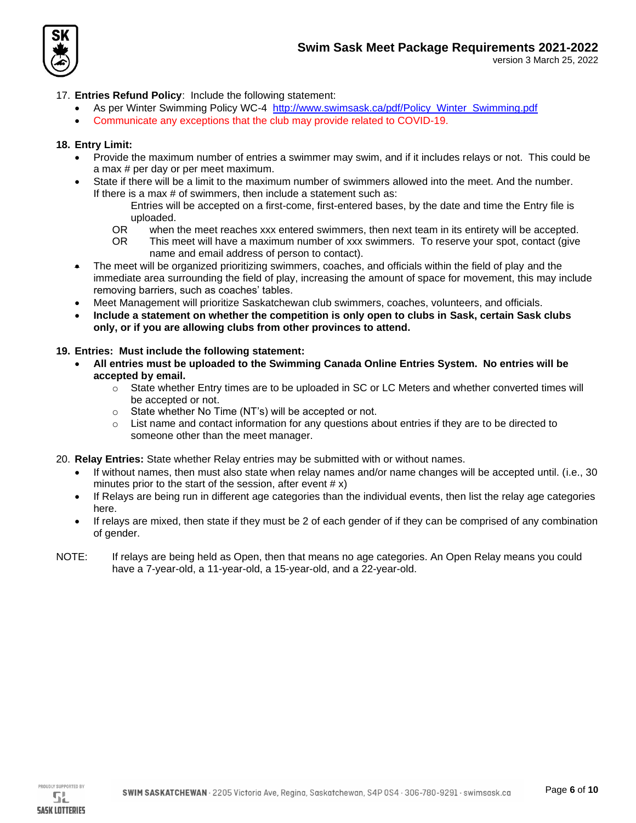

## 17. **Entries Refund Policy**: Include the following statement:

- As per Winter Swimming Policy WC-4 [http://www.swimsask.ca/pdf/Policy\\_Winter\\_Swimming.pdf](http://www.swimsask.ca/pdf/Policy_Winter_Swimming.pdf)
- Communicate any exceptions that the club may provide related to COVID-19.

## **18. Entry Limit:**

- Provide the maximum number of entries a swimmer may swim, and if it includes relays or not. This could be a max # per day or per meet maximum.
- State if there will be a limit to the maximum number of swimmers allowed into the meet. And the number. If there is a max # of swimmers, then include a statement such as:
	- Entries will be accepted on a first-come, first-entered bases, by the date and time the Entry file is uploaded.
	- OR when the meet reaches xxx entered swimmers, then next team in its entirety will be accepted.
	- OR This meet will have a maximum number of xxx swimmers. To reserve your spot, contact (give name and email address of person to contact).
- The meet will be organized prioritizing swimmers, coaches, and officials within the field of play and the immediate area surrounding the field of play, increasing the amount of space for movement, this may include removing barriers, such as coaches' tables.
- Meet Management will prioritize Saskatchewan club swimmers, coaches, volunteers, and officials.
- **Include a statement on whether the competition is only open to clubs in Sask, certain Sask clubs only, or if you are allowing clubs from other provinces to attend.**

## **19. Entries: Must include the following statement:**

- **All entries must be uploaded to the Swimming Canada Online Entries System. No entries will be accepted by email.** 
	- o State whether Entry times are to be uploaded in SC or LC Meters and whether converted times will be accepted or not.
	- o State whether No Time (NT's) will be accepted or not.
	- $\circ$  List name and contact information for any questions about entries if they are to be directed to someone other than the meet manager.
- 20. **Relay Entries:** State whether Relay entries may be submitted with or without names.
	- If without names, then must also state when relay names and/or name changes will be accepted until. (i.e., 30 minutes prior to the start of the session, after event  $\#\mathbf{x}$ )
	- If Relays are being run in different age categories than the individual events, then list the relay age categories here.
	- If relays are mixed, then state if they must be 2 of each gender of if they can be comprised of any combination of gender.
- NOTE: If relays are being held as Open, then that means no age categories. An Open Relay means you could have a 7-year-old, a 11-year-old, a 15-year-old, and a 22-year-old.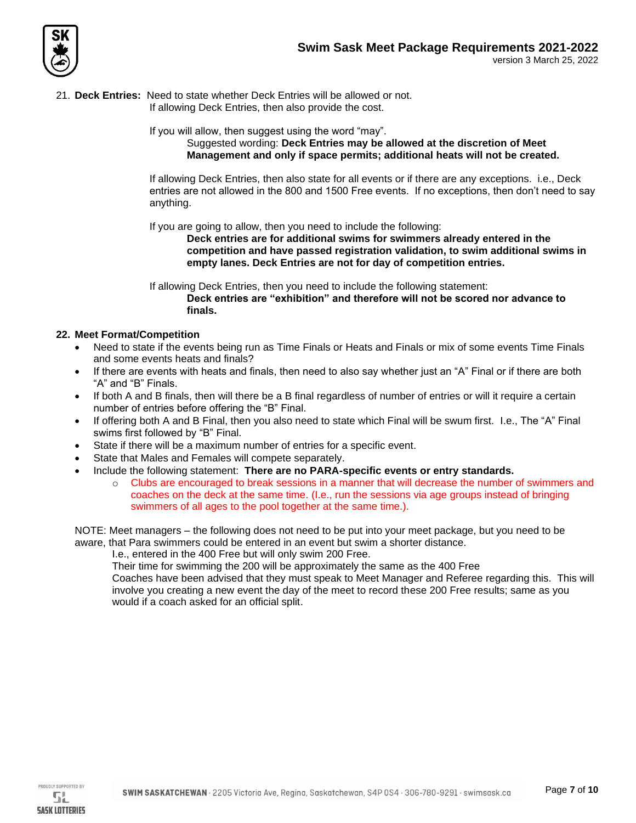

21. **Deck Entries:** Need to state whether Deck Entries will be allowed or not.

If allowing Deck Entries, then also provide the cost.

If you will allow, then suggest using the word "may".

Suggested wording: **Deck Entries may be allowed at the discretion of Meet Management and only if space permits; additional heats will not be created.**

If allowing Deck Entries, then also state for all events or if there are any exceptions. i.e., Deck entries are not allowed in the 800 and 1500 Free events. If no exceptions, then don't need to say anything.

If you are going to allow, then you need to include the following:

**Deck entries are for additional swims for swimmers already entered in the competition and have passed registration validation, to swim additional swims in empty lanes. Deck Entries are not for day of competition entries.**

If allowing Deck Entries, then you need to include the following statement: **Deck entries are "exhibition" and therefore will not be scored nor advance to finals.**

## **22. Meet Format/Competition**

- Need to state if the events being run as Time Finals or Heats and Finals or mix of some events Time Finals and some events heats and finals?
- If there are events with heats and finals, then need to also say whether just an "A" Final or if there are both "A" and "B" Finals.
- If both A and B finals, then will there be a B final regardless of number of entries or will it require a certain number of entries before offering the "B" Final.
- If offering both A and B Final, then you also need to state which Final will be swum first. I.e., The "A" Final swims first followed by "B" Final.
- State if there will be a maximum number of entries for a specific event.
- State that Males and Females will compete separately.
- Include the following statement: **There are no PARA-specific events or entry standards.** 
	- o Clubs are encouraged to break sessions in a manner that will decrease the number of swimmers and coaches on the deck at the same time. (I.e., run the sessions via age groups instead of bringing swimmers of all ages to the pool together at the same time.).

NOTE: Meet managers – the following does not need to be put into your meet package, but you need to be aware, that Para swimmers could be entered in an event but swim a shorter distance.

I.e., entered in the 400 Free but will only swim 200 Free.

Their time for swimming the 200 will be approximately the same as the 400 Free

Coaches have been advised that they must speak to Meet Manager and Referee regarding this. This will involve you creating a new event the day of the meet to record these 200 Free results; same as you would if a coach asked for an official split.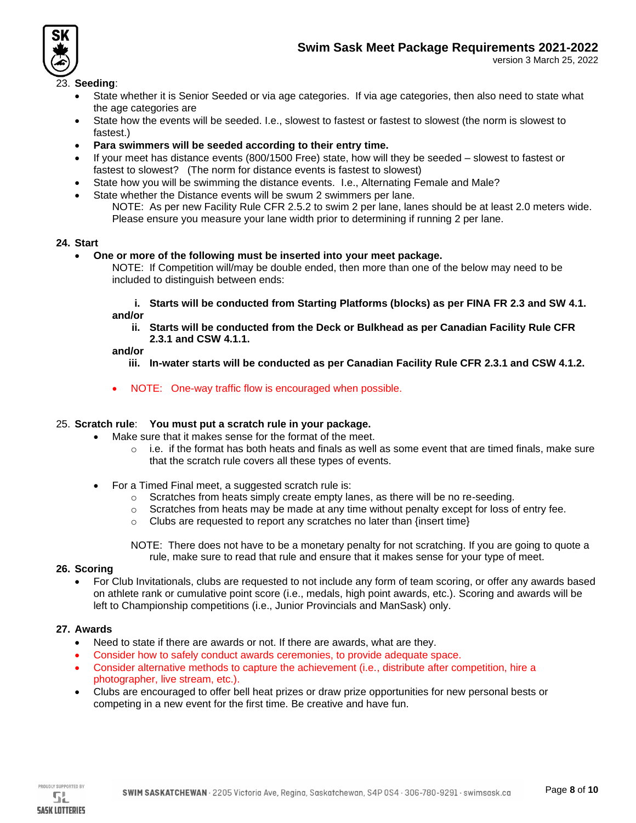



version 3 March 25, 2022

## 23. **Seeding**:

- State whether it is Senior Seeded or via age categories. If via age categories, then also need to state what the age categories are
- State how the events will be seeded. I.e., slowest to fastest or fastest to slowest (the norm is slowest to fastest.)
- **Para swimmers will be seeded according to their entry time.**
- If your meet has distance events (800/1500 Free) state, how will they be seeded slowest to fastest or fastest to slowest? (The norm for distance events is fastest to slowest)
- State how you will be swimming the distance events. I.e., Alternating Female and Male?
- State whether the Distance events will be swum 2 swimmers per lane. NOTE: As per new Facility Rule CFR 2.5.2 to swim 2 per lane, lanes should be at least 2.0 meters wide. Please ensure you measure your lane width prior to determining if running 2 per lane.

## **24. Start**

• **One or more of the following must be inserted into your meet package.** 

NOTE: If Competition will/may be double ended, then more than one of the below may need to be included to distinguish between ends:

**i. Starts will be conducted from Starting Platforms (blocks) as per FINA FR 2.3 and SW 4.1. and/or**

**ii. Starts will be conducted from the Deck or Bulkhead as per Canadian Facility Rule CFR 2.3.1 and CSW 4.1.1.**

#### **and/or**

- **iii. In-water starts will be conducted as per Canadian Facility Rule CFR 2.3.1 and CSW 4.1.2.**
- NOTE: One-way traffic flow is encouraged when possible.

## 25. **Scratch rule**: **You must put a scratch rule in your package.**

- Make sure that it makes sense for the format of the meet.
	- $\circ$  i.e. if the format has both heats and finals as well as some event that are timed finals, make sure that the scratch rule covers all these types of events.
- For a Timed Final meet, a suggested scratch rule is:
	- o Scratches from heats simply create empty lanes, as there will be no re-seeding.
	- o Scratches from heats may be made at any time without penalty except for loss of entry fee.
	- $\circ$  Clubs are requested to report any scratches no later than {insert time}

NOTE: There does not have to be a monetary penalty for not scratching. If you are going to quote a rule, make sure to read that rule and ensure that it makes sense for your type of meet.

## **26. Scoring**

• For Club Invitationals, clubs are requested to not include any form of team scoring, or offer any awards based on athlete rank or cumulative point score (i.e., medals, high point awards, etc.). Scoring and awards will be left to Championship competitions (i.e., Junior Provincials and ManSask) only.

## **27. Awards**

- Need to state if there are awards or not. If there are awards, what are they.
- Consider how to safely conduct awards ceremonies, to provide adequate space.
- Consider alternative methods to capture the achievement (i.e., distribute after competition, hire a photographer, live stream, etc.).
- Clubs are encouraged to offer bell heat prizes or draw prize opportunities for new personal bests or competing in a new event for the first time. Be creative and have fun.

**SASK LOTTERIES**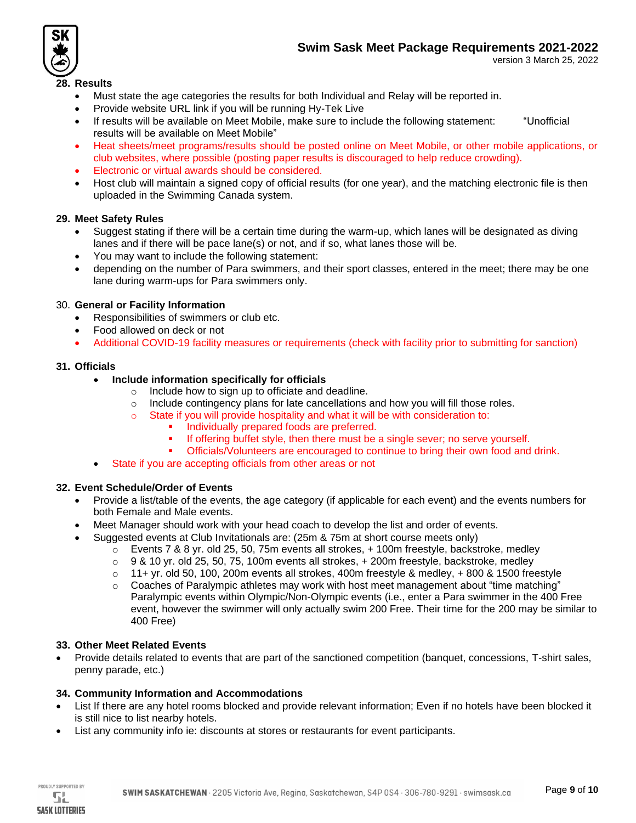



#### version 3 March 25, 2022

## **28. Results**

- Must state the age categories the results for both Individual and Relay will be reported in.
- Provide website URL link if you will be running Hy-Tek Live
- If results will be available on Meet Mobile, make sure to include the following statement: "Unofficial results will be available on Meet Mobile"
- Heat sheets/meet programs/results should be posted online on Meet Mobile, or other mobile applications, or club websites, where possible (posting paper results is discouraged to help reduce crowding).
- Electronic or virtual awards should be considered.
- Host club will maintain a signed copy of official results (for one year), and the matching electronic file is then uploaded in the Swimming Canada system.

#### **29. Meet Safety Rules**

- Suggest stating if there will be a certain time during the warm-up, which lanes will be designated as diving lanes and if there will be pace lane(s) or not, and if so, what lanes those will be.
- You may want to include the following statement:
- depending on the number of Para swimmers, and their sport classes, entered in the meet; there may be one lane during warm-ups for Para swimmers only.

#### 30. **General or Facility Information**

- Responsibilities of swimmers or club etc.
- Food allowed on deck or not
- Additional COVID-19 facility measures or requirements (check with facility prior to submitting for sanction)

#### **31. Officials**

- **Include information specifically for officials** 
	- o Include how to sign up to officiate and deadline.
	- o Include contingency plans for late cancellations and how you will fill those roles.
	- o State if you will provide hospitality and what it will be with consideration to:
		- Individually prepared foods are preferred.
		- If offering buffet style, then there must be a single sever; no serve yourself.
		- Officials/Volunteers are encouraged to continue to bring their own food and drink.
- State if you are accepting officials from other areas or not

## **32. Event Schedule/Order of Events**

- Provide a list/table of the events, the age category (if applicable for each event) and the events numbers for both Female and Male events.
- Meet Manager should work with your head coach to develop the list and order of events.
- Suggested events at Club Invitationals are: (25m & 75m at short course meets only)
	- $\circ$  Events 7 & 8 yr. old 25, 50, 75m events all strokes,  $+100$ m freestyle, backstroke, medley
	- $\circ$  9 & 10 yr. old 25, 50, 75, 100m events all strokes,  $+$  200m freestyle, backstroke, medley
	- $\circ$  11+ vr. old 50, 100, 200m events all strokes, 400m freestyle & medley, +800 & 1500 freestyle
	- $\circ$  Coaches of Paralympic athletes may work with host meet management about "time matching" Paralympic events within Olympic/Non-Olympic events (i.e., enter a Para swimmer in the 400 Free event, however the swimmer will only actually swim 200 Free. Their time for the 200 may be similar to 400 Free)

#### **33. Other Meet Related Events**

• Provide details related to events that are part of the sanctioned competition (banquet, concessions, T-shirt sales, penny parade, etc.)

#### **34. Community Information and Accommodations**

- List If there are any hotel rooms blocked and provide relevant information; Even if no hotels have been blocked it is still nice to list nearby hotels.
- List any community info ie: discounts at stores or restaurants for event participants.

PROUDLY SUPPORTED BY 51.

**SASK LOTTERIES**